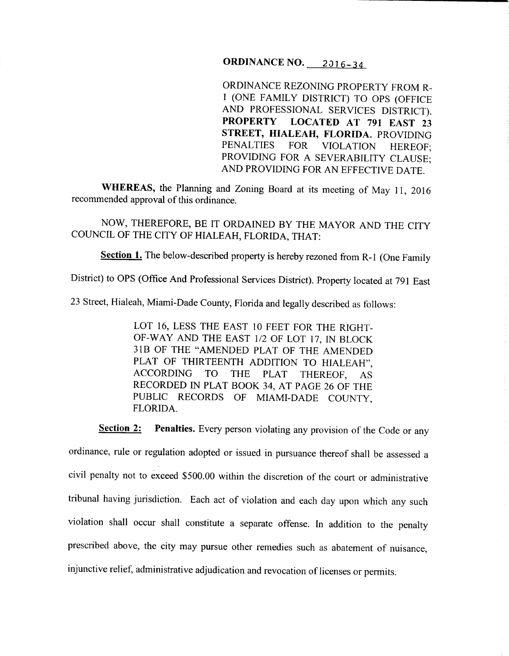## ORDINANCE NO. 2016-34

ORDINANCE REZONING PROPERTY FROM R-1 (ONE FAMILY DISTRICT) TO OPS (OFFICE AND PROFESSIONAL SERVICES DISTRICT). PROPERTY LOCATED AT 791 EAST 23 STREET, HIALEAH, FLORIDA. PROVIDING PENALTIES FOR VIOLATION HEREOF; PROVIDING FOR A SEVERABILITY CLAUSE; AND PROVIDING FOR AN EFFECTIVE DATE.

WHEREAS, the Planning and Zoning Board at its meeting of May 11, 2016 recommended approval of this ordinance.

NOW, THEREFORE, BE IT ORDAINED BY THE MAYOR AND THE CITY COUNCIL OF THE CITY OF HIALEAH, FLORIDA, THAT:

Section 1. The below-described property is hereby rezoned from R-1 (One Family

District) to OPS (Office And Professional Services District). Property located at 791 East

<sup>23</sup>Street, Hialeah, Miami-Dade County, Florida and legally described as follows:

LOT 16, LESS THE EAST 10 FEET FOR THE RIGHT-OF-WAY AND THE EAST 1/2 OF LOT 17, IN BLOCK 31B OF THE "AMENDED PLAT OF THE AMENDED PLAT OF THIRTEENTH ADDITION TO HIALEAH", ACCORDING TO THE PLAT THEREOF, AS RECORDED IN PLAT BOOK 34, AT PAGE 26 OF THE PUBLIC RECORDS OF MIAMI-DADE COUNTY, FLORIDA.

Section 2: Penalties. Every person violating any provision of the Code or any ordinance, rule or regulation adopted or issued in pursuance thereof shall be assessed a civil penalty not to exceed \$500.00 within the discretion of the court or administrative tribunal having jurisdiction. Each act of violation and each day upon which any such violation shall occur shall constitute a separate offense. In addition to the penalty prescribed above, the city may pursue other remedies such as abatement of nuisance, injunctive relief, administrative adjudication and revocation of licenses or permits.